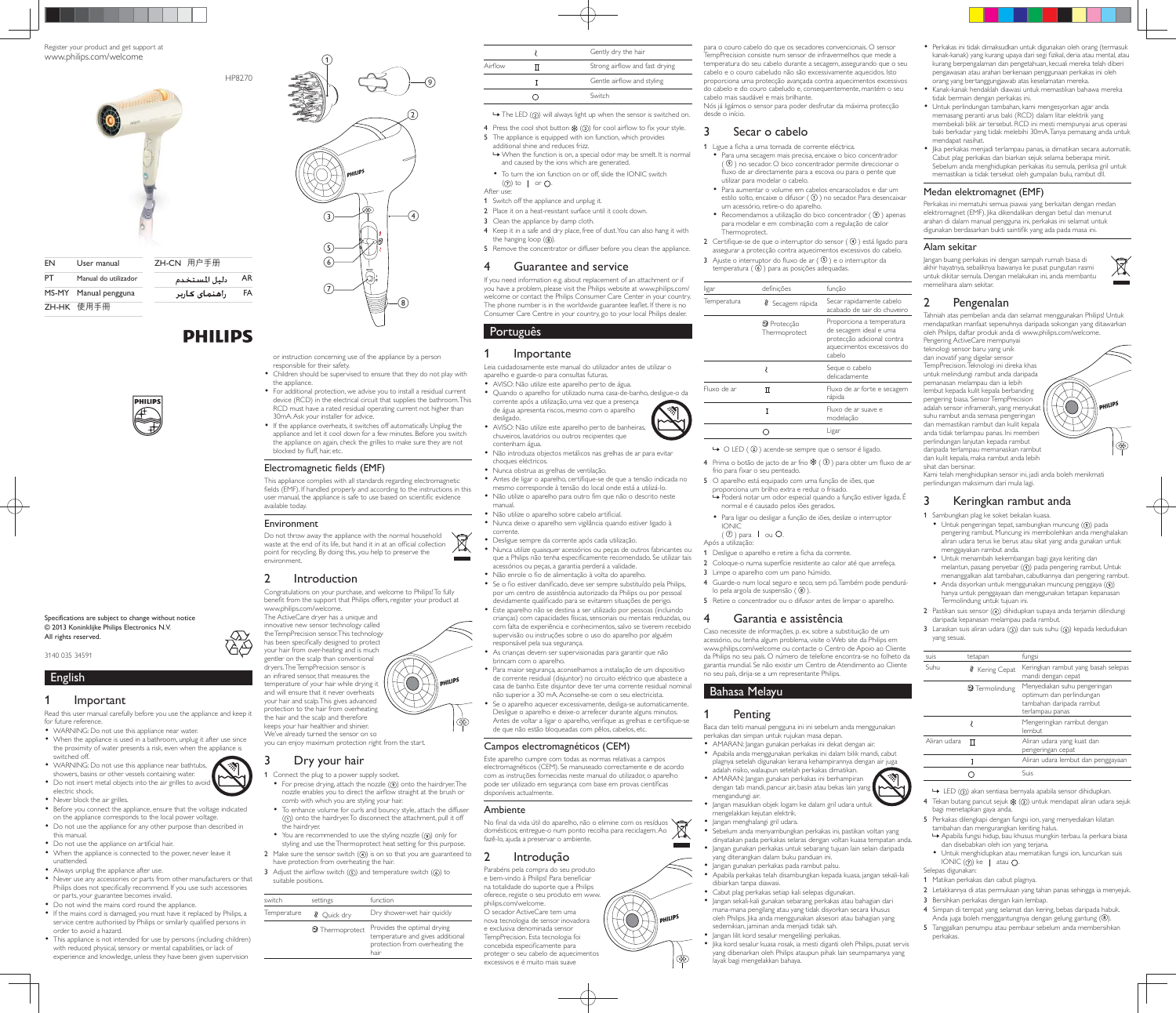Register your product and get support at www.philips.com/welcome



ZH-HK 使用手冊

# **PHILIPS**



Specifications are subject to change without notice  $@$  2013 Koninklijke Philips Electronics N.V. All rights reserved.

3140 035 34591

English

1 Important Read this user manual carefully before you use the appliance and keep it for future reference • WARNING: Do not use this appliance near water.

- When the appliance is used in a bathroom, unplug it after use since the proximity of water presents a risk, even when the appliance is switched off.
- WARNING: Do not use this appliance near bathtubs, showers, basins or other vessels containing water.
- Do not insert metal objects into the air grilles to avoid electric shock.
- Never block the air grilles.
- Before you connect the appliance, ensure that the voltage indicated on the appliance corresponds to the local power voltage.
- Do not use the appliance for any other purpose than described in this manual.
- \* Do not use the appliance on artificial hair When the appliance is connected to the power, never leave it
- unattended. Always unplug the appliance after use.
- Never use any accessories or parts from other manufacturers or that
- The distribution of the particle of the control control control of the control of the control philips does not specifically recommend. If you use such accessories or parts, your guarantee becomes invalid. Do not wind the mains cord round the appliance.
- If the mains cord is damaged, you must have it replaced by Philips, a service centre authorised by Philips or similarly qualified persons in order to avoid a hazard.
- This appliance is not intended for use by persons (including children) with reduced physical, sensory or mental capabilities, or lack of experience and knowledge, unless they have been given supervision



- 
- or instruction concerning use of the appliance by a person responsible for their safety. Children should be supervised to ensure that they do not play with

 $^{(8)}$ 

- the appliance. For additional protection, we advise you to install a residual current device (RCD) in the electrical circuit that supplies the bathroom. This RCD must have a rated residual operating current not higher than 30mA. Ask your installer for advice.
- If the appliance overheats, it switches off automatically. Unplug the appliance and let it cool down for a few minutes. Before you switch the appliance on again, check the grilles to make sure they are not blocked by fluff hair etc.

### Electromagnetic fields (EMF)

This appliance complies with all standards regarding electromagnetic fields (EMF). If handled properly and according to the instructions in this user manual, the appliance is safe to use based on scientific evidence available today.

### Environment

Do not throw away the appliance with the normal household waste at the end of its life, but hand it in at an official collection point for recycling. By doing this, you help to preserve the environment.

### 2 Introduction

Congratulations on your purchase, and welcome to Philips! To fully benefit from the support that Philips offers, register your product at www.philips.com/welcome.

The ActiveCare dryer has a unique and nnovative new sensor technology called the TempPrecision sensor. This technology has been specifically designed to protect your hair from over-heating and is much gentler on the scalp than conventional dryers. The TempPrecision sensor is an infrared sensor, that measures the {O} temperature of your hair while drying it and will ensure that it never overheats your hair and scalp. This gives advanced protection to the hair from overheating the hair and the scalp and therefore keeps your hair healthier and shinier. We've already turned the sensor on so you can enjoy maximum protection right from the start.

# 3 Dry your hair

- Connect the plug to a power supply socket. For precise drying, attach the nozzle  $(9)$  onto the hairdryer. The nozzle enables you to direct the airflow straight at the brush or comb with which you are styling your hair.
- To enhance volume for curls and bouncy style, attach the diffuser  $($ ( $)$ ) onto the hairdryer. To disconnect the attachment, pull it off the hairdryer.
- You are recommended to use the styling nozzle ((0)) only for styling and use the Thermoprotect heat setting for this purpose. 2 Make sure the sensor switch  $(Q)$  is on so that you are guaranteed to
- have protection from overheating the hair. 3 Adjust the airflow switch  $(5)$  and temperature switch  $(6)$  to
- suitable positions.

| switch      | settings                  | function                                                                                                   |
|-------------|---------------------------|------------------------------------------------------------------------------------------------------------|
| Temperature | <b><i>Q</i></b> Ouick dry | Dry shower-wet hair quickly                                                                                |
|             | * Thermoprotect           | Provides the optimal drying<br>temperature and gives additional<br>protection from overheating the<br>hair |

| Strong airflow and fast drying |
|--------------------------------|
| Gentle airflow and styling     |
| Switch                         |
|                                |

 $\rightarrow$  The LED (2) will always light up when the sensor is switched on.

- 4 Press the cool shot button  $\frac{4k}{\sqrt{2}}$  (3) for cool airflow to fix your style. 5 The appliance is equipped with ion function, which provides
- additional shine and reduces frizz. » When the function is on, a special odor may be smelt. It is normal
- and caused by the ions which are generated. To turn the ion function on or off, slide the IONIC switch
- $(7)$  to | or  $\bigcap$ . After use:
- 1 Switch off the appliance and unplug it.
- 2 Place it on a heat-resistant surface until it cools down.
- 3 Clean the appliance by damp cloth.
- 4 Keep it in a safe and dry place, free of dust. You can also hang it with the hanging loop  $(0)$ . 5 Remove the concentrator or diffuser before you clean the appliance.
- 4 Guarantee and service

If you need information e.g. about replacement of an attachment or if you have a problem, please visit the Philips website at www.philips.com/ welcome or contact the Philips Consumer Care Center in your country. The phone number is in the worldwide guarantee leaflet. If there is no Consumer Care Centre in your country, go to your local Philips dealer.

Português

### 1 Importante

- Leia cuidadosamente este manual do utilizador antes de utilizar o aparelho e guarde-o para consultas futuras.
- AVISO: Não utilize este aparelho perto de água. Quando o aparelho for utilizado numa casa-de-banho, desligue-o da corrente após a utilização, uma vez que a presença de água apresenta riscos, mesmo com o aparelho desligado.
- AVISO: Não utilize este aparelho perto de banheiras, chuveiros, lavatórios ou outros recipientes que contenham água.
- Não introduza objectos metálicos nas grelhas de ar para evitar choques eléctricos.
- Nunca obstrua as grelhas de ventilação.
- $\bullet$  Antes de ligar o aparelho, certifique-se de que a tensão indicada no mesmo corresponde à tensão do local onde está a utilizá-lo. • Não utilize o aparelho para outro fim que não o descrito neste manual.
- Não utilize o aparelho sobre cabelo artificial. Nunca deixe o aparelho sem vigilância quando estiver ligado à corrente.
- Desligue sempre da corrente após cada utilização.
- · Nunca utilize quaisquer acessórios ou peças de outros fabricantes ou que a Philips não tenha especificamente recomendado. Se utilizar tais acessórios ou peças, a garantia perderá a validade.
- Não enrole o fio de alimentação à volta do aparelho. • Se o fio estiver danificado, deve ser sempre substituído pela Philips, por um centro de assistência autorizado da Philips ou por pessoal devidamente qualificado para se evitarem situações de perigo. \* Este aparelho não se destina a ser utilizado por pessoas (incluindo<br>crianças) com capacidades físicas, sensoriais ou mentais reduzidas, ou com falta de experiência e conhecimentos, salvo se tiverem recebido supervisão ou instruções sobre o uso do aparelho por alguém responsável pela sua segurança.
- As crianças devem ser supervisionadas para garantir que não brincam com o aparelho.
- Para maior segurança, aconselhamos a instalação de um dispositivo de corrente residual (disjuntor) no circuito eléctrico que abastece a casa de banho. Este disiuntor deve ter uma corrente residual nomina não superior a 30 mA. Aconselhe-se com o seu electricista. Se o aparelho aquecer excessivamente, desliga-se automaticamente. Desligue o aparelho e deixe-o arrefecer durante alguns minutos. Antes de voltar a ligar o aparelho, verifique as grelhas e certifique-se

## Campos electromagnéticos (CEM)

de que não estão bloqueadas com pêlos, cabelos, etc.

Este aparelho cumpre com todas as normas relativas a campos electromagnéticos (CEM). Se manuseado correctamente e de acordo com as instruções fornecidas neste manual do utilizador, o aparelho pode ser utilizado em seguranca com base em provas científicas .<br>disponíveis actualmente

### Ambiente

No final da vida útil do aparelho, não o elimine com os resíduos domésticos; entregue-o num ponto recolha para reciclagem. Ao fazê-lo, ajuda a preservar o ambiente.

### 2 Introdução

Parabéns pela compra do seu produto e bem-vindo à Philips! Para beneficiar na totalidade do suporte que a Philips oferece, registe o seu produto em www. philips.com/welcome. O secador ActiveCare tem uma nova tecnologia de sensor inovadora e exclusiva denominada sensor TempPrecision. Esta tecnologia foi concebida especificamente para proteger o seu cabelo de aquecimentos excessivos e é muito mais suave

para o couro cabelo do que os secadores convencionais. O senso TempPrecision consiste num sensor de infravermelhos que mede a temperatura do seu cabelo durante a secagem, assegurando que o seu cabelo e o couro cabeludo não são excessivamente aquecidos. Isto proporciona uma protecção avançada contra aquecimentos excessivos do cabelo e do couro cabeludo e, consequentemente, mantém o seu cabelo mais saudável e mais brilhante. Nós já ligámos o sensor para poder desfrutar da máxima protecção desde o início.

 Perkakas ini tidak dimaksudkan untuk digunakan oleh orang (termasuk kanak-kanak) yang kurang upaya dari segi fizikal, deria atau mental, atau kurang berpengalaman dan pengetahuan, kecuali mereka telah diberi pengawasan atau arahan berkenaan penggunaan perkakas ini oleh orang yang bertanggungjawab atas keselamatan mereka. Kanak-kanak hendaklah diawasi untuk memastikan bahawa mereka

 Untuk perlindungan tambahan, kami mengesyorkan agar anda memasang peranti arus baki (RCD) dalam litar elektrik yang membekali bilik air tersebut. RCD ini mesti mempunyai arus operasi baki berkadar yang tidak melebihi 30mA. Tanya pemasang anda untuk

- Hundupus humbu.<br>• Jika perkakas menjadi terlampau panas, ia dimatikan secara automatik. Cabut plag perkakas dan biarkan sejuk selama beberapa minit. Sebelum anda menghidupkan perkakas itu semula, periksa gril untuk memastikan ia tidak tersekat oleh gumpalan bulu, rambut dll.

Perkakas ini mematuhi semua piawai yang berkaitan dengan medan Hohang an Hohnson Centre prenen yang den anam dengan medalik elektromagnet (EMF). Jika dikendalikan dengan betul dan menurut arahan di dalam manual pengguna ini, perkakas ini selamat untuk digunakan berdasarkan bukti saintifik yang ada pada masa ini.

Jangan buang perkakas ini dengan sampah rumah biasa di akhir hayatnya, sebaliknya bawanya ke pusat pungutan rasmi untuk dikitar semula. Dengan melakukan ini, anda membantu

Tahniah atas pembelian anda dan selamat menggunakan Philips! Untuk mendapatkan manfaat sepenuhnya daripada sokongan yang ditawarkan oleh Philips, daftar produk anda di www.philips.com/welcome.

**O** 

Kami telah menghidupkan sensor ini, jadi anda boleh menikmati

 $\bullet$  Untuk pengeringan tepat, sambungkan muncung  $(9)$ ) pada pengering rambut. Muncung ini membolehkan anda menghalakan aliran udara terus ke berus atau sikat yang anda gunakan untuk

 Untuk menambah kekembangan bagi gaya keriting dan melantun, pasang penyebar (1) pada pengering rambut. Untuk menanggalkan alat tambahan, cabutkannya dari pengering rambut.<br>• Anda disyorkan untuk menggunakan muncung penggaya (⑨) hanya untuk penggayaan dan menggunakan tetapan kepanasan

2 Pastikan suis sensor (4) dihidupkan supaya anda terjamin dilindungi

3 Laraskan suis aliran udara  $(6)$  dan suis suhu  $(6)$  kepada kedudukan

Suhu R Kering Cepat Keringkan rambut yang basah selepas

lembut

Suis  $\rightarrow$  I ED  $(2)$ ) akan sentiasa bernyala apabila sensor dihidupkan. 4 Tekan butang pancut sejuk ※ (3) untuk mendapat aliran udara sejuk

5 Perkakas dilengkapi dengan fungsi ion, yang menyediakan kilatan

» Apabila fungsi hidup, bau khusus mungkin terbau. Ia perkara biasa

• Untuk menghidupkan atau mematikan fungsi ion, luncurkan suis IONIC  $(\bar{v})$  ke | atau  $\overline{O}$ .

2 Letakkannya di atas permukaan yang tahan panas sehingga ia menyejuk.

4 Simpan di tempat yang selamat dan kering, bebas daripada habuk. Anda juga boleh menggantungnya dengan gelung gantung (<sup>3</sup>). 5 Tanggalkan penumpu atau pembaur sebelum anda membersihkan

tambahan dan mengurangkan keriting halus.

dan disebabkan oleh ion yang terjana.

Aliran udara  $\overline{\mathbf{u}}$  Aliran udara yang kuat dan

mandi dengan cepat **2** Termolindung Menyediakan suhu pengeringar

pengeringan cepat

optimum dan perlindungan tambahan daripada rambut terlampau panas Mengeringkan rambut dengan

Aliran udara lembut dan penggayaan

tidak bermain dengan perkakas ini.

Medan elektromagnet (EMF)

mendapat nasihat.

Alam sekitar

sihat dan bersinar.

yang sesuai.

perlindungan maksimum dari mula lagi.

menggayakan rambut anda.

Termolindung untuk tujuan ini.

suis tetapan fungsi

bagi menetapkan gaya anda.

 $\lambda$ 

 $\mathbf{I}$  $\Omega$ 

1 Matikan perkakas dan cabut plagnya.

3 Bersihkan perkakas dengan kain lembap.

Selepas digunakan:

perkakas.

daripada kepanasan melampau pada rambut.

3 Keringkan rambut anda 1 Sambungkan plag ke soket bekalan kuasa.

memelihara alam sekitar. 2 Pengenalan

Pengering ActiveCare mempunyai teknologi sensor baru yang unik dan inovatif yang digelar sensor TempPrecision. Teknologi ini direka khas untuk melindungi rambut anda daripada pemanasan melampau dan ia lebih lembut kepada kulit kepala berbanding pengering biasa. Sensor TempPrecision adalah sensor inframerah, yang menyukat suhu rambut anda semasa pengeringan dan memastikan rambut dan kulit kepala anda tidak terlampau panas. Ini memberi perlindungan lanjutan kepada rambut daripada terlampau memanaskan rambut dan kulit kepala, maka rambut anda lebih

### 3 Secar o cabelo

1 Ligue a ficha a uma tomada de corrente eléctrica. Para uma secagem mais precisa, encaixe o bico concentrador

- $( 9)$  no secador. O bico concentrador permite direccionar o fluxo de ar directamente para a escova ou para o pente que utilizar para modelar o cabelo.
- Para aumentar o volume em cabelos encaracolados e dar um estilo solto, encaixe o difusor  $(\cup)$  no secador. Para desencaixar um acessório, retire-o do aparelho.
- $\bullet$  Recomendamos a utilização do bico concentrador ( $\circled{2}$ ) apenas para modelar e em combinação com a regulação de calor Thermoprotect.
- 2 Certifique-se de que o interruptor do sensor ( $\Theta$ ) está ligado para assegurar a protecção contra aquecimentos excessivos do cabelo.
- 3 Ajuste o interruptor do fluxo de ar  $(\mathbb{G})$  e o interruptor da  $temperature$  ( $\circled{6}$ ) para as posições adequadas

| ligar       | definicões                   | funcão                                                                                                                    |  |
|-------------|------------------------------|---------------------------------------------------------------------------------------------------------------------------|--|
| Temperatura | Secagem rápida               | Secar rapidamente cabelo<br>acabado de sair do chuveiro                                                                   |  |
|             | * Proteccão<br>Thermoprotect | Proporciona a temperatura<br>de secagem ideal e uma<br>protecção adicional contra<br>aquecimentos excessivos do<br>cabelo |  |
|             |                              | Seque o cabelo<br>delicadamente                                                                                           |  |
| Fluxo de ar |                              | Fluxo de ar forte e secagem<br>rápida                                                                                     |  |
|             |                              | Fluxo de ar suave e<br>modelação                                                                                          |  |
|             |                              | Ligar                                                                                                                     |  |

- $\rightarrow$  O LED ( $\circled{2}$ ) acende-se sempre que o sensor é ligado.
- 4 Prima o botão de jacto de ar frio  $\Re(\Omega)$  para obter um fluxo de ar frio para fixar o seu penteado.
- 5 O aparelho está equipado com uma função de iões, que
- proporciona um brilho extra e reduz o frisado. » Poderá notar um odor especial quando a função estiver ligada. É normal e é causado pelos iões gerados.
- Para ligar ou desligar a função de iões, deslize o interruptor IONIC
- $(  $\circlearrowright$ ) para 1 ou O.$
- Após a utilização:
- 1 Desligue o aparelho e retire a ficha da corrente 2 Coloque-o numa superfície resistente ao calor até que arrefeça 3 Limpe o aparelho com um pano húmido.
- 4 Guarde-o num local seguro e seco, sem pó. Também pode pendurálo pela argola de suspensão  $($   $($
- 5 Retire o concentrador ou o difusor antes de limpar o aparelho.

#### 4 Garantia e assistência

Caso necessite de informações, p. ex. sobre a substituição de um acessório, ou tenha algum problema, visite o Web site da Philips em www.philips.com/welcome ou contacte o Centro de Apoio ao Cliente da Philips no seu país. O número de telefone encontra-se no folheto da garantia mundial. Se não existir um Centro de Atendimento ao Cliente no seu país, dirija-se a um representante Philips.

# Bahasa Melayu

### **Penting**

- Baca dan teliti manual pengguna ini ini sebelum anda menggunakan perkakas dan simpan untuk rujukan masa depan.
- . AMARAN: Jangan gunakan perkakas ini dekat dengan air. Apabila anda menggunakan perkakas ini dalam bilik mandi, cabut plagnya setelah digunakan kerana kehampirannya dengan air juga adalah risiko, walaupun setelah perkakas dimatikan. · AMARAN: Jangan gunakan perkakas ini berhampiran dengan tab mandi, pancur air, basin atau bekas lain yang
- mengandungi air. Jangan masukkan objek logam ke dalam gril udara untuk mengelakkan kejutan elektrik.
- Jangan menghalangi gril udara.

dibiarkan tanpa diawasi.

 $\diagup$ 

 $\circledast$ 

O)

yang diterangkan dalam buku panduan ini. · Jangan gunakan perkakas pada rambut palsu

Cabut plag perkakas setiap kali selepas digunakan.

sedemikian, jaminan anda menjadi tidak sah. Jangan lilit kord sesalur mengelilingi perkakas.

layak bagi mengelakkan bahaya.

 Sebelum anda menyambungkan perkakas ini, pastikan voltan yang dinyatakan pada perkakas selaras dengan voltan kuasa tempatan anda. langan gunakan perkakas untuk sebarang tujuan lain selain daripada

Apabila perkakas telah disambungkan kepada kuasa, jangan sekali-kali

-<br>• Jangan sekali-kali gunakan sebarang perkakas atau bahagian dari mana-mana pengilang atau yang tidak disyorkan secara khusus oleh Philips. Jika anda menggunakan aksesori atau bahagian yang

· Jika kord sesalur kuasa rosak, ia mesti diganti oleh Philips, pusat servis yang dibenarkan oleh Philips ataupun pihak lain seumpamanya yang